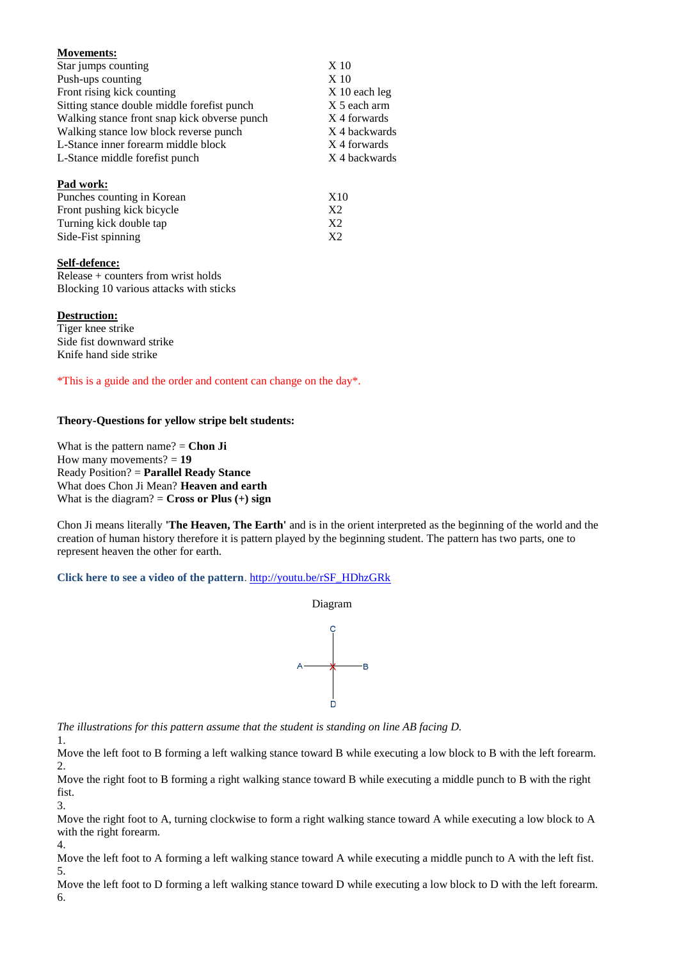| <b>Movements:</b>                            |                 |
|----------------------------------------------|-----------------|
| Star jumps counting                          | X <sub>10</sub> |
| Push-ups counting                            | X <sub>10</sub> |
| Front rising kick counting                   | $X$ 10 each leg |
| Sitting stance double middle forefist punch  | X 5 each arm    |
| Walking stance front snap kick obverse punch | X 4 forwards    |
| Walking stance low block reverse punch       | X 4 backwards   |
| L-Stance inner forearm middle block          | X 4 forwards    |
| L-Stance middle forefist punch               | X 4 backwards   |
| Pad work:                                    |                 |
| Punches counting in Korean                   | X10             |
| Front pushing kick bicycle                   | X <sub>2</sub>  |
| Turning kick double tap                      | X <sub>2</sub>  |
| Side-Fist spinning                           | X <sub>2</sub>  |

## **Self-defence:**

Release + counters from wrist holds Blocking 10 various attacks with sticks

## **Destruction:**

1.

4.

Tiger knee strike Side fist downward strike Knife hand side strike

\*This is a guide and the order and content can change on the day\*.

## **Theory-Questions for yellow stripe belt students:**

What is the pattern name? = **Chon Ji** How many movements? = **19** Ready Position? = **Parallel Ready Stance** What does Chon Ji Mean? **Heaven and earth** What is the diagram?  $=$  **Cross or Plus**  $(+)$  **sign** 

Chon Ji means literally **'The Heaven, The Earth'** and is in the orient interpreted as the beginning of the world and the creation of human history therefore it is pattern played by the beginning student. The pattern has two parts, one to represent heaven the other for earth.

## **Click here to see a video of the pattern**. [http://youtu.be/rSF\\_HDhzGRk](http://youtu.be/rSF_HDhzGRk)



*The illustrations for this pattern assume that the student is standing on line AB facing D.*

Move the left foot to B forming a left walking stance toward B while executing a low block to B with the left forearm. 2.

Move the right foot to B forming a right walking stance toward B while executing a middle punch to B with the right fist.

3. Move the right foot to A, turning clockwise to form a right walking stance toward A while executing a low block to A with the right forearm.

Move the left foot to A forming a left walking stance toward A while executing a middle punch to A with the left fist. 5.

Move the left foot to D forming a left walking stance toward D while executing a low block to D with the left forearm. 6.